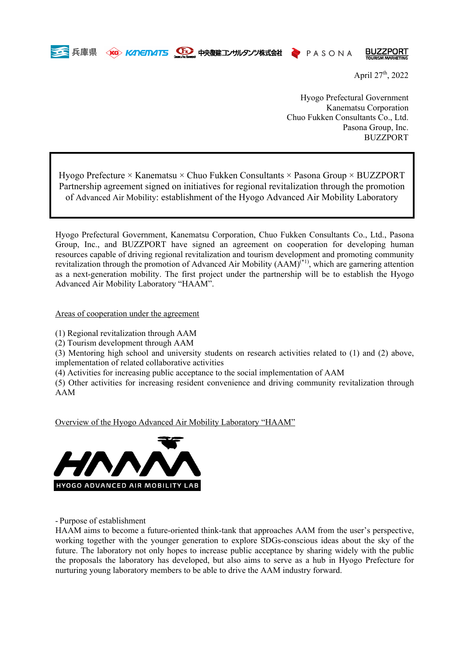

兵庫県 KG KANETMATS CEO 中央復建コンサルタンツ株式会社 PASONA

**BUZZPORT** 

April  $27^{\text{th}}$ , 2022

Hyogo Prefectural Government Kanematsu Corporation Chuo Fukken Consultants Co., Ltd. Pasona Group, Inc. BUZZPORT

Hyogo Prefecture  $\times$  Kanematsu  $\times$  Chuo Fukken Consultants  $\times$  Pasona Group  $\times$  BUZZPORT Partnership agreement signed on initiatives for regional revitalization through the promotion of Advanced Air Mobility: establishment of the Hyogo Advanced Air Mobility Laboratory

Hyogo Prefectural Government, Kanematsu Corporation, Chuo Fukken Consultants Co., Ltd., Pasona Group, Inc., and BUZZPORT have signed an agreement on cooperation for developing human resources capable of driving regional revitalization and tourism development and promoting community revitalization through the promotion of Advanced Air Mobility  $(AAM)^{(*)}$ , which are garnering attention as a next-generation mobility. The first project under the partnership will be to establish the Hyogo Advanced Air Mobility Laboratory "HAAM".

Areas of cooperation under the agreement

(1) Regional revitalization through AAM

(2) Tourism development through AAM

(3) Mentoring high school and university students on research activities related to (1) and (2) above, implementation of related collaborative activities

(4) Activities for increasing public acceptance to the social implementation of AAM

(5) Other activities for increasing resident convenience and driving community revitalization through AAM

Overview of the Hyogo Advanced Air Mobility Laboratory "HAAM"



- Purpose of establishment

HAAM aims to become a future-oriented think-tank that approaches AAM from the user's perspective, working together with the younger generation to explore SDGs-conscious ideas about the sky of the future. The laboratory not only hopes to increase public acceptance by sharing widely with the public the proposals the laboratory has developed, but also aims to serve as a hub in Hyogo Prefecture for nurturing young laboratory members to be able to drive the AAM industry forward.